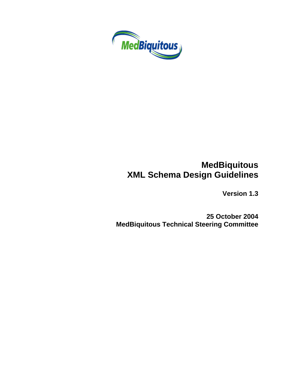

# **MedBiquitous XML Schema Design Guidelines**

**Version 1.3** 

**25 October 2004 MedBiquitous Technical Steering Committee**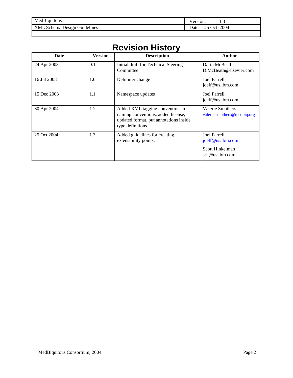| MedBiquitous                          | ر. .                         |
|---------------------------------------|------------------------------|
| XML<br>Guidelines<br>Schema<br>Des1gn | 2004<br>$\Omega$ ct<br>Date: |

|  | <b>Revision History</b> |
|--|-------------------------|
|  |                         |

| Date        | <b>Version</b> | <b>Description</b>                                                                                                                    | Author                                                                |
|-------------|----------------|---------------------------------------------------------------------------------------------------------------------------------------|-----------------------------------------------------------------------|
| 24 Apr 2003 | 0.1            | Initial draft for Technical Steering<br>Committee                                                                                     | Darin McBeath<br>D.McBeath@elsevier.com                               |
| 16 Jul 2003 | 1.0            | Delimiter change                                                                                                                      | Joel Farrell<br>joelf@us.ibm.com                                      |
| 15 Dec 2003 | 1.1            | Namespace updates                                                                                                                     | Joel Farrell<br>joelf@us.ibm.com                                      |
| 30 Apr 2004 | 1.2            | Added XML tagging conventions to<br>naming conventions, added license,<br>updated format, put annotations inside<br>type definitions. | Valerie Smothers<br>valerie.smothers@medbiq.org                       |
| 25 Oct 2004 | 1.3            | Added guidelines for creating<br>extensibility points.                                                                                | Joel Farrell<br>joelf@us.ibm.com<br>Scott Hinkelman<br>srh@us.ibm.com |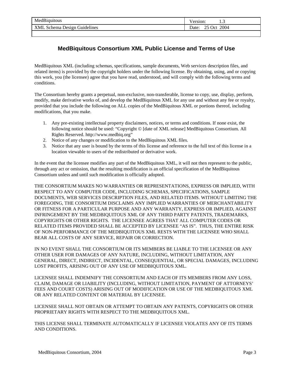<span id="page-2-0"></span>

| MedBiquitous    | ersion:<br>1.J |
|-----------------|----------------|
| XML             | 2004           |
| Guidelines      | Oct            |
| . Schema Design | Date:          |

# **MedBiquitous Consortium XML Public License and Terms of Use**

MedBiquitous XML (including schemas, specifications, sample documents, Web services description files, and related items) is provided by the copyright holders under the following license. By obtaining, using, and or copying this work, you (the licensee) agree that you have read, understood, and will comply with the following terms and conditions.

The Consortium hereby grants a perpetual, non-exclusive, non-transferable, license to copy, use, display, perform, modify, make derivative works of, and develop the MedBiquitous XML for any use and without any fee or royalty, provided that you include the following on ALL copies of the MedBiquitous XML or portions thereof, including modifications, that you make.

- 1. Any pre-existing intellectual property disclaimers, notices, or terms and conditions. If none exist, the following notice should be used: "Copyright © [date of XML release] MedBiquitous Consortium. All Rights Reserved. http://www.medbiq.org"
- 2. Notice of any changes or modification to the MedBiquitous XML files.
- 3. Notice that any user is bound by the terms of this license and reference to the full text of this license in a location viewable to users of the redistributed or derivative work.

In the event that the licensee modifies any part of the MedBiquitous XML, it will not then represent to the public, through any act or omission, that the resulting modification is an official specification of the MedBiquitous Consortium unless and until such modification is officially adopted.

THE CONSORTIUM MAKES NO WARRANTIES OR REPRESENTATIONS, EXPRESS OR IMPLIED, WITH RESPECT TO ANY COMPUTER CODE, INCLUDING SCHEMAS, SPECIFICATIONS, SAMPLE DOCUMENTS, WEB SERVICES DESCRIPTION FILES, AND RELATED ITEMS. WITHOUT LIMITING THE FOREGOING, THE CONSORTIUM DISCLAIMS ANY IMPLIED WARRANTIES OF MERCHANTABILITY OR FITNESS FOR A PARTICULAR PURPOSE AND ANY WARRANTY, EXPRESS OR IMPLIED, AGAINST INFRINGEMENT BY THE MEDBIQUITOUS XML OF ANY THIRD PARTY PATENTS, TRADEMARKS, COPYRIGHTS OR OTHER RIGHTS. THE LICENSEE AGREES THAT ALL COMPUTER CODES OR RELATED ITEMS PROVIDED SHALL BE ACCEPTED BY LICENSEE "AS IS". THUS, THE ENTIRE RISK OF NON-PERFORMANCE OF THE MEDBIQUITOUS XML RESTS WITH THE LICENSEE WHO SHALL BEAR ALL COSTS OF ANY SERVICE, REPAIR OR CORRECTION.

IN NO EVENT SHALL THE CONSORTIUM OR ITS MEMBERS BE LIABLE TO THE LICENSEE OR ANY OTHER USER FOR DAMAGES OF ANY NATURE, INCLUDING, WITHOUT LIMITATION, ANY GENERAL, DIRECT, INDIRECT, INCIDENTAL, CONSEQUENTIAL, OR SPECIAL DAMAGES, INCLUDING LOST PROFITS, ARISING OUT OF ANY USE OF MEDBIQUITOUS XML.

LICENSEE SHALL INDEMNIFY THE CONSORTIUM AND EACH OF ITS MEMBERS FROM ANY LOSS, CLAIM, DAMAGE OR LIABILITY (INCLUDING, WITHOUT LIMITATION, PAYMENT OF ATTORNEYS' FEES AND COURT COSTS) ARISING OUT OF MODIFICATION OR USE OF THE MEDBIQUITOUS XML OR ANY RELATED CONTENT OR MATERIAL BY LICENSEE.

LICENSEE SHALL NOT OBTAIN OR ATTEMPT TO OBTAIN ANY PATENTS, COPYRIGHTS OR OTHER PROPRIETARY RIGHTS WITH RESPECT TO THE MEDBIQUITOUS XML.

THIS LICENSE SHALL TERMINATE AUTOMATICALLY IF LICENSEE VIOLATES ANY OF ITS TERMS AND CONDITIONS.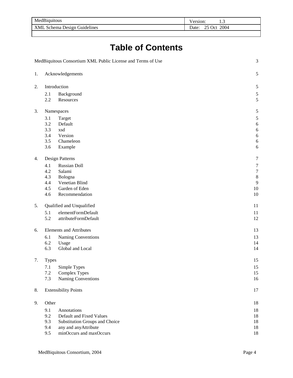| MedBiquitous                          | ersion.<br>ر         |
|---------------------------------------|----------------------|
| Guidelines<br>XML<br>Schema<br>Des1en | 2004<br>Oct<br>Date: |

# **Table of Contents**

| MedBiquitous Consortium XML Public License and Terms of Use |              | 3                              |                  |
|-------------------------------------------------------------|--------------|--------------------------------|------------------|
| 1.                                                          |              | Acknowledgements               | 5                |
| 2.                                                          |              | Introduction                   | 5                |
|                                                             | 2.1          | Background                     | 5                |
|                                                             | 2.2          | Resources                      | 5                |
| 3.                                                          |              | Namespaces                     | 5                |
|                                                             | 3.1          | Target                         | 5                |
|                                                             | 3.2          | Default                        | 6                |
|                                                             | 3.3          | xsd                            | 6                |
|                                                             | 3.4          | Version                        | 6                |
|                                                             | 3.5          | Chameleon                      | 6                |
|                                                             | 3.6          | Example                        | 6                |
| 4.                                                          |              | Design Patterns                | $\boldsymbol{7}$ |
|                                                             | 4.1          | <b>Russian Doll</b>            | $\boldsymbol{7}$ |
|                                                             | 4.2          | Salami                         | $\overline{7}$   |
|                                                             | 4.3          | Bologna                        | $\,$ 8 $\,$      |
|                                                             | 4.4          | Venetian Blind                 | 9                |
|                                                             | 4.5          | Garden of Eden                 | 10               |
|                                                             | 4.6          | Recommendation                 | 10               |
| 5.                                                          |              | Qualified and Unqualified      | 11               |
|                                                             | 5.1          | elementFormDefault             | 11               |
|                                                             | 5.2          | attributeFormDefault           | 12               |
| 6.                                                          |              | <b>Elements and Attributes</b> | 13               |
|                                                             | 6.1          | Naming Conventions             | 13               |
|                                                             | 6.2          | Usage                          | 14               |
|                                                             | 6.3          | Global and Local               | 14               |
| 7.                                                          | <b>Types</b> |                                | 15               |
|                                                             | 7.1          | Simple Types                   | 15               |
|                                                             | 7.2          | Complex Types                  | 15               |
|                                                             | 7.3          | Naming Conventions             | 16               |
| 8.                                                          |              | <b>Extensibility Points</b>    | 17               |
| 9.                                                          | Other        |                                | 18               |
|                                                             | 9.1          | Annotations                    | 18               |
|                                                             | 9.2          | Default and Fixed Values       | 18               |
|                                                             | 9.3          | Substitution Groups and Choice | 18               |
|                                                             | 9.4          | any and any Attribute          | 18               |
|                                                             | 9.5          | minOccurs and maxOccurs        | 18               |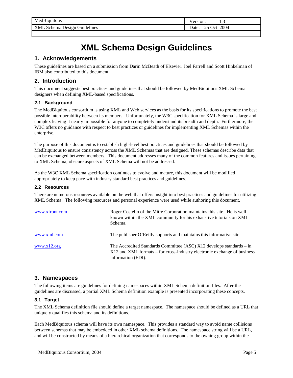<span id="page-4-0"></span>

| Me                                           | ersion:              |
|----------------------------------------------|----------------------|
| dBiquitous                                   | 1.J                  |
| XML<br><i>fuidelines</i><br>Schema<br>Des1en | 2004<br>Oct<br>Date: |

# **XML Schema Design Guidelines**

## **1. Acknowledgements**

These guidelines are based on a submission from Darin McBeath of Elsevier. Joel Farrell and Scott Hinkelman of IBM also contributed to this document.

### **2. Introduction**

This document suggests best practices and guidelines that should be followed by MedBiquitous XML Schema designers when defining XML-based specifications.

### **2.1 Background**

The MedBiquitous consortium is using XML and Web services as the basis for its specifications to promote the best possible interoperability between its members. Unfortunately, the W3C specification for XML Schema is large and complex leaving it nearly impossible for anyone to completely understand its breadth and depth. Furthermore, the W3C offers no guidance with respect to best practices or guidelines for implementing XML Schemas within the enterprise.

The purpose of this document is to establish high-level best practices and guidelines that should be followed by MedBiquitous to ensure consistency across the XML Schemas that are designed. These schemas describe data that can be exchanged between members. This document addresses many of the common features and issues pertaining to XML Schema; obscure aspects of XML Schema will not be addressed.

As the W3C XML Schema specification continues to evolve and mature, this document will be modified appropriately to keep pace with industry standard best practices and guidelines.

### **2.2 Resources**

There are numerous resources available on the web that offers insight into best practices and guidelines for utilizing XML Schema. The following resources and personal experience were used while authoring this document.

| www.xfront.com | Roger Costello of the Mitre Corporation maintains this site. He is well<br>known within the XML community for his exhaustive tutorials on XML<br>Schema.               |
|----------------|------------------------------------------------------------------------------------------------------------------------------------------------------------------------|
| www.xml.com    | The publisher O'Reilly supports and maintains this informative site.                                                                                                   |
| www.x12.org    | The Accredited Standards Committee (ASC) X12 develops standards – in<br>X12 and XML formats – for cross-industry electronic exchange of business<br>information (EDI). |

### **3. Namespaces**

The following items are guidelines for defining namespaces within XML Schema definition files. After the guidelines are discussed, a partial XML Schema definition example is presented incorporating these concepts.

### **3.1 Target**

The XML Schema definition file should define a target namespace. The namespace should be defined as a URL that uniquely qualifies this schema and its definitions.

Each MedBiquitous schema will have its own namespace. This provides a standard way to avoid name collisions between schemas that may be embedded in other XML schema definitions. The namespace string will be a URL, and will be constructed by means of a hierarchical organization that corresponds to the owning group within the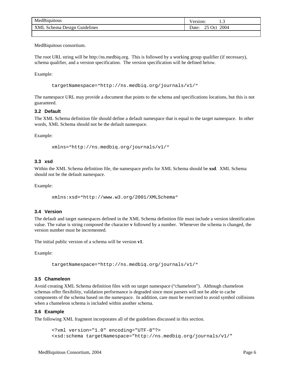<span id="page-5-0"></span>

| MedBiquitous                    | ersion:<br>ن                 |
|---------------------------------|------------------------------|
| Schema Design Guidelines<br>XML | 2004<br>25 Oct<br>Date:<br>ت |

MedBiquitous consortium.

The root URL string will be http://ns.medbiq.org. This is followed by a working group qualifier (if necessary), schema qualifier, and a version specification. The version specification will be defined below.

Example:

targetNamespace=″http://ns.medbiq.org/journals/v1/″

The namespace URL may provide a document that points to the schema and specifications locations, but this is not guaranteed.

#### **3.2 Default**

The XML Schema definition file should define a default namespace that is equal to the target namespace. In other words, XML Schema should not be the default namespace.

Example:

xmlns=″http://ns.medbiq.org/journals/v1/″

#### **3.3 xsd**

Within the XML Schema definition file, the namespace prefix for XML Schema should be **xsd**. XML Schema should not be the default namespace.

Example:

xmlns:xsd=″http://www.w3.org/2001/XMLSchema″

### **3.4 Version**

The default and target namespaces defined in the XML Schema definition file must include a version identification value. The value is string composed the character **v** followed by a number. Whenever the schema is changed, the version number must be incremented.

The initial public version of a schema will be version **v1**.

Example:

```
targetNamespace=″http://ns.medbiq.org/journals/v1/″
```
### **3.5 Chameleon**

Avoid creating XML Schema definition files with no target namespace ("chameleon"). Although chameleon schemas offer flexibility, validation performance is degraded since most parsers will not be able to cache components of the schema based on the namespace. In addition, care must be exercised to avoid symbol collisions when a chameleon schema is included within another schema.

#### **3.6 Example**

The following XML fragment incorporates all of the guidelines discussed in this section.

```
<?xml version="1.0" encoding="UTF-8"?> 
<xsd:schema targetNamespace="http://ns.medbiq.org/journals/v1/"
```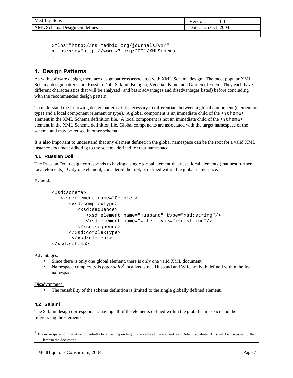<span id="page-6-0"></span>

| MedBiquitous | ersion:<br>ر. 1 |
|--------------|-----------------|
| XML          | 2004            |
| Guidelines   | Oct             |
| Schema       | ,               |
| Design       | Date:           |

```
xmlns="http://ns.medbiq.org/journals/v1/" 
xmlns:xsd="http://www.w3.org/2001/XMLSchema" 
...
```
### **4. Design Patterns**

As with software design, there are design patterns associated with XML Schema design. The most popular XML Schema design patterns are Russian Doll, Salami, Bologna, Venetian Blind, and Garden of Eden. They each have different characteristics that will be analyzed (and basic advantages and disadvantages listed) before concluding with the recommended design pattern.

To understand the following design patterns, it is necessary to differentiate between a global component (element or type) and a local component (element or type). A global component is an immediate child of the  $\leq$ schema> element in the XML Schema definition file. A local component is not an immediate child of the  $\leq$ schema> element in the XML Schema definition file. Global components are associated with the target namespace of the schema and may be reused in other schema.

It is also important to understand that any element defined in the global namespace can be the root for a valid XML instance document adhering to the schema defined for that namespace.

### **4.1 Russian Doll**

The Russian Doll design corresponds to having a single global element that nests local elements (that nest further local elements). Only one element, considered the root, is defined within the global namespace.

Example:

```
<xsd:schema> 
    <xsd:element name="Couple"> 
       <xsd:complexType> 
           <xsd:sequence> 
              <xsd:element name="Husband" type="xsd:string"/> 
              <xsd:element name="Wife" type="xsd:string"/> 
           </xsd:sequence> 
       </xsd:complexType> 
        </xsd:element> 
</xsd:schema>
```
Advantages:

- Since there is only one global element, there is only one valid XML document.
- Namespace complexity is *potentially<sup>1</sup>* localized since Husband and Wife are both defined within the local namespace.

Disadvantages:

• The reusability of the schema definition is limited to the single globally defined element.

### **4.2 Salami**

 $\overline{a}$ 

The Salami design corresponds to having all of the elements defined within the global namespace and then referencing the elements.

<sup>&</sup>lt;sup>1</sup> The namespace complexity is potentially localized depending on the value of the elementFormDefault attribute. This will be discussed further later in the document.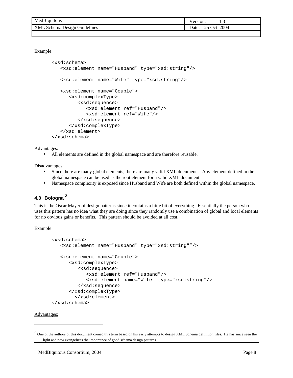<span id="page-7-0"></span>

| MedBiquitous      | ersion:<br>ر. . |
|-------------------|-----------------|
| Design Guidelines | 2004            |
| XML               | : Oct           |
| Schema            | Date:           |

Example:

```
<xsd:schema> 
    <xsd:element name="Husband" type="xsd:string"/> 
    <xsd:element name="Wife" type="xsd:string"/> 
    <xsd:element name="Couple"> 
       <xsd:complexType> 
          <xsd:sequence> 
              <xsd:element ref="Husband"/> 
              <xsd:element ref="Wife"/> 
          </xsd:sequence> 
       </xsd:complexType> 
    </xsd:element> 
</xsd:schema>
```
#### Advantages:

• All elements are defined in the global namespace and are therefore reusable.

Disadvantages:

- Since there are many global elements, there are many valid XML documents. Any element defined in the global namespace can be used as the root element for a valid XML document.
- Namespace complexity is exposed since Husband and Wife are both defined within the global namespace.

## **4.3 Bologna 2**

This is the Oscar Mayer of design patterns since it contains a little bit of everything. Essentially the person who uses this pattern has no idea what they are doing since they randomly use a combination of global and local elements for no obvious gains or benefits. This pattern should be avoided at all cost.

Example:

```
<xsd:schema> 
    <xsd:element name="Husband" type="xsd:string""/> 
    <xsd:element name="Couple"> 
       <xsd:complexType> 
          <xsd:sequence> 
              <xsd:element ref="Husband"/> 
              <xsd:element name="Wife" type="xsd:string"/> 
          </xsd:sequence> 
       </xsd:complexType> 
         </xsd:element> 
</xsd:schema>
```
#### Advantages:

 $\overline{a}$ 

<sup>&</sup>lt;sup>2</sup> One of the authors of this document coined this term based on his early attempts to design XML Schema definition files. He has since seen the light and now evangelizes the importance of good schema design patterns.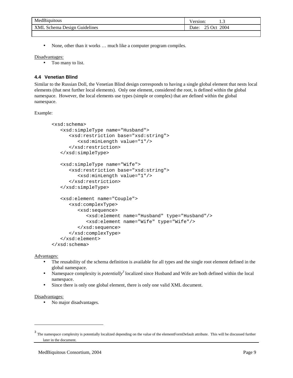<span id="page-8-0"></span>

| MedBiquitous                              | ersion:<br>ل د ل     |
|-------------------------------------------|----------------------|
| <b>T.</b> Schema Design Guidelines<br>XML | 2004<br>Oct<br>Date: |

• None, other than it works ... much like a computer program compiles.

Disadvantages:

• Too many to list.

#### **4.4 Venetian Blind**

Similar to the Russian Doll, the Venetian Blind design corresponds to having a single global element that nests local elements (that nest further local elements). Only one element, considered the root, is defined within the global namespace. However, the local elements use types (simple or complex) that are defined within the global namespace.

Example:

```
<xsd:schema> 
    <xsd:simpleType name="Husband"> 
       <xsd:restriction base="xsd:string"> 
          <xsd:minLength value="1"/> 
       </xsd:restriction> 
    </xsd:simpleType> 
    <xsd:simpleType name="Wife"> 
       <xsd:restriction base="xsd:string"> 
          <xsd:minLength value="1"/> 
       </xsd:restriction> 
    </xsd:simpleType> 
    <xsd:element name="Couple"> 
       <xsd:complexType> 
          <xsd:sequence> 
              <xsd:element name="Husband" type="Husband"/> 
              <xsd:element name="Wife" type="Wife"/> 
          </xsd:sequence> 
       </xsd:complexType> 
    </xsd:element> 
</xsd:schema>
```
Advantages:

- The reusability of the schema definition is available for all types and the single root element defined in the global namespace.
- Namespace complexity is *potentially<sup>3</sup>* localized since Husband and Wife are both defined within the local namespace.
- Since there is only one global element, there is only one valid XML document.

#### Disadvantages:

l

• No major disadvantages.

<sup>&</sup>lt;sup>3</sup> The namespace complexity is potentially localized depending on the value of the elementFormDefault attribute. This will be discussed further later in the document.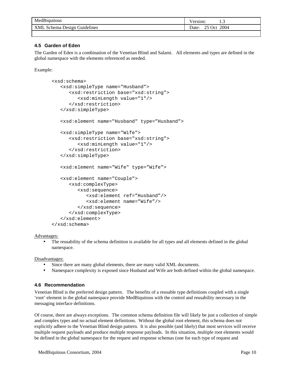<span id="page-9-0"></span>

| MedBiquitous                           | ersion:<br>ر. 1            |
|----------------------------------------|----------------------------|
| <b>XML</b><br>Schema Design Guidelines | 2004<br>Oct<br>າ<<br>Jate: |
|                                        |                            |

### **4.5 Garden of Eden**

The Garden of Eden is a combination of the Venetian Blind and Salami. All elements and types are defined in the global namespace with the elements referenced as needed.

Example:

```
<xsd:schema> 
    <xsd:simpleType name="Husband"> 
       <xsd:restriction base="xsd:string"> 
           <xsd:minLength value="1"/> 
       </xsd:restriction> 
    </xsd:simpleType> 
    <xsd:element name="Husband" type="Husband"> 
    <xsd:simpleType name="Wife"> 
       <xsd:restriction base="xsd:string"> 
          <xsd:minLength value="1"/> 
       </xsd:restriction> 
    </xsd:simpleType> 
    <xsd:element name="Wife" type="Wife"> 
    <xsd:element name="Couple"> 
       <xsd:complexType> 
          <xsd:sequence> 
              <xsd:element ref="Husband"/> 
              <xsd:element name="Wife"/> 
          </xsd:sequence> 
       </xsd:complexType> 
    </xsd:element> 
</xsd:schema>
```
Advantages:

• The reusability of the schema definition is available for all types and all elements defined in the global namespace.

Disadvantages:

- Since there are many global elements, there are many valid XML documents.
- Namespace complexity is exposed since Husband and Wife are both defined within the global namespace.

### **4.6 Recommendation**

Venetian Blind is the preferred design pattern. The benefits of a reusable type definitions coupled with a single 'root' element in the global namespace provide MedBiquitous with the control and reusability necessary in the messaging interface definitions.

Of course, there are always exceptions. The common schema definition file will likely be just a collection of simple and complex types and no actual element definitions. Without the global root element, this schema does not explicitly adhere to the Venetian Blind design pattern. It is also possible (and likely) that most services will receive multiple request payloads and produce multiple response payloads. In this situation, multiple root elements would be defined in the global namespace for the request and response schemas (one for each type of request and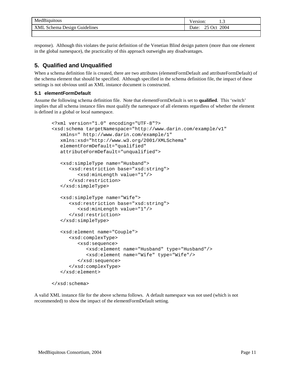<span id="page-10-0"></span>

| MedBiquitous                        | Version:<br>ن           |
|-------------------------------------|-------------------------|
| <b>XML Schema Design Guidelines</b> | 2004<br>25 Oct<br>)ate: |
|                                     |                         |

response). Although this violates the purist definition of the Venetian Blind design pattern (more than one element in the global namespace), the practicality of this approach outweighs any disadvantages.

# **5. Qualified and Unqualified**

When a schema definition file is created, there are two attributes (elementFormDefault and attributeFormDefault) of the schema element that should be specified. Although specified in the schema definition file, the impact of these settings is not obvious until an XML instance document is constructed.

### **5.1 elementFormDefault**

Assume the following schema definition file. Note that elementFormDefault is set to **qualified**. This 'switch' implies that all schema instance files must qualify the namespace of all elements regardless of whether the element is defined in a global or local namespace.

```
<?xml version="1.0" encoding="UTF-8"?> 
<xsd:schema targetNamespace="http://www.darin.com/example/v1" 
    xmlns=" http://www.darin.com/example/1" 
    xmlns:xsd="http://www.w3.org/2001/XMLSchema" 
    elementFormDefault="qualified" 
    attributeFormDefault="unqualified"> 
    <xsd:simpleType name="Husband"> 
       <xsd:restriction base="xsd:string"> 
          <xsd:minLength value="1"/> 
       </xsd:restriction> 
    </xsd:simpleType> 
    <xsd:simpleType name="Wife"> 
       <xsd:restriction base="xsd:string"> 
          <xsd:minLength value="1"/> 
       </xsd:restriction> 
    </xsd:simpleType> 
    <xsd:element name="Couple"> 
       <xsd:complexType> 
          <xsd:sequence> 
              <xsd:element name="Husband" type="Husband"/> 
              <xsd:element name="Wife" type="Wife"/> 
          </xsd:sequence> 
       </xsd:complexType> 
    </xsd:element>
```
</xsd:schema>

A valid XML instance file for the above schema follows. A default namespace was not used (which is not recommended) to show the impact of the elementFormDefault setting.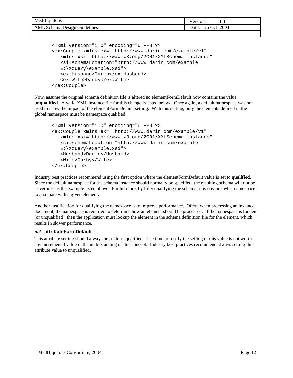<span id="page-11-0"></span>

| Med        | ersion: |
|------------|---------|
| dBiquitous | ر. .    |
| XMI        | 2004    |
| 5uidelines | Oct     |
| Schema     | Date:   |
| Design     | ∸~      |

```
<?xml version="1.0" encoding="UTF-8"?> 
<ex:Couple xmlns:ex=" http://www.darin.com/example/v1" 
   xmlns:xsi="http://www.w3.org/2001/XMLSchema-instance" 
   xsi:schemaLocation="http://www.darin.com/example 
    E:\Xquery\example.xsd"> 
    <ex:Husband>Darin</ex:Husband> 
    <ex:Wife>Darby</ex:Wife> 
</ex:Couple>
```
Now, assume the original schema definition file is altered so elementFormDefault now contains the value **unqualified**. A valid XML instance file for this change is listed below. Once again, a default namespace was not used to show the impact of the elementFormDefault setting. With this setting, only the elements defined in the global namespace must be namespace qualified.

```
<?xml version="1.0" encoding="UTF-8"?> 
<ex:Couple xmlns:ex=" http://www.darin.com/example/v1" 
   xmlns:xsi="http://www.w3.org/2001/XMLSchema-instance" 
   xsi:schemaLocation="http://www.darin.com/example 
    E:\Xquery\example.xsd"> 
    <Husband>Darin</Husband> 
    <Wife>Darby</Wife> 
</ex:Couple>
```
Industry best practices recommend using the first option where the elementFormDefault value is set to **qualified**. Since the default namespace for the schema instance should normally be specified, the resulting schema will not be as verbose as the example listed above. Furthermore, by fully qualifying the schema, it is obvious what namespace to associate with a given element.

Another justification for qualifying the namespace is to improve performance. Often, when processing an instance document, the namespace is required to determine how an element should be processed. If the namespace is hidden (or unqualified), then the application must lookup the element in the schema definition file for the element, which results in slower performance.

### **5.2 attributeFormDefault**

This attribute setting should always be set to unqualified. The time to justify the setting of this value is not worth any incremental value in the understanding of this concept. Industry best practices recommend always setting this attribute value to unqualified.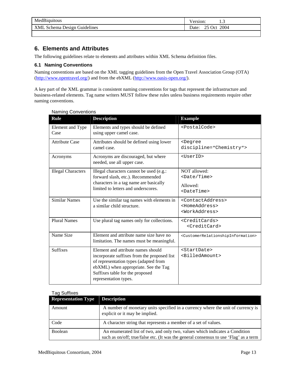<span id="page-12-0"></span>

| MedBiquitous                    | ersion:<br>ر. 1            |
|---------------------------------|----------------------------|
| Schema Design Guidelines<br>XML | 2004<br>Oct<br>າເ<br>Date: |
|                                 |                            |

# **6. Elements and Attributes**

The following guidelines relate to elements and attributes within XML Schema definition files.

### **6.1 Naming Conventions**

Naming conventions are based on the XML tagging guidelines from the Open Travel Association Group (OTA) [\(http://www.opentravel.org/\)](http://www.opentravel.org/) and from the ebXML [\(http://www.oasis-open.org/\).](http://www.oasis-open.org/)

A key part of the XML grammar is consistent naming conventions for tags that represent the infrastructure and business-related elements. Tag name writers MUST follow these rules unless business requirements require other naming conventions.

| <postalcode><br/>Elements and types should be defined</postalcode>                                                                                                                                                                                                                                                                                                                                                                                                                                              |
|-----------------------------------------------------------------------------------------------------------------------------------------------------------------------------------------------------------------------------------------------------------------------------------------------------------------------------------------------------------------------------------------------------------------------------------------------------------------------------------------------------------------|
|                                                                                                                                                                                                                                                                                                                                                                                                                                                                                                                 |
| Attributes should be defined using lower<br><degree< td=""></degree<>                                                                                                                                                                                                                                                                                                                                                                                                                                           |
|                                                                                                                                                                                                                                                                                                                                                                                                                                                                                                                 |
| Acronyms are discouraged, but where<br><userid></userid>                                                                                                                                                                                                                                                                                                                                                                                                                                                        |
| NOT allowed:<br>Illegal characters cannot be used (e.g.:                                                                                                                                                                                                                                                                                                                                                                                                                                                        |
|                                                                                                                                                                                                                                                                                                                                                                                                                                                                                                                 |
| Allowed:<br>limited to letters and underscores.                                                                                                                                                                                                                                                                                                                                                                                                                                                                 |
|                                                                                                                                                                                                                                                                                                                                                                                                                                                                                                                 |
| Use the similar tag names with elements in<br><contactaddress></contactaddress>                                                                                                                                                                                                                                                                                                                                                                                                                                 |
|                                                                                                                                                                                                                                                                                                                                                                                                                                                                                                                 |
|                                                                                                                                                                                                                                                                                                                                                                                                                                                                                                                 |
| <creditcards><br/>Use plural tag names only for collections.</creditcards>                                                                                                                                                                                                                                                                                                                                                                                                                                      |
|                                                                                                                                                                                                                                                                                                                                                                                                                                                                                                                 |
| Element and attribute name size have no<br><customerrelationshipinformation></customerrelationshipinformation>                                                                                                                                                                                                                                                                                                                                                                                                  |
|                                                                                                                                                                                                                                                                                                                                                                                                                                                                                                                 |
| Element and attribute names should<br><startdate></startdate>                                                                                                                                                                                                                                                                                                                                                                                                                                                   |
|                                                                                                                                                                                                                                                                                                                                                                                                                                                                                                                 |
|                                                                                                                                                                                                                                                                                                                                                                                                                                                                                                                 |
|                                                                                                                                                                                                                                                                                                                                                                                                                                                                                                                 |
|                                                                                                                                                                                                                                                                                                                                                                                                                                                                                                                 |
| discipline="Chemistry"><br>forward slash, etc.). Recommended<br><date time=""><br/>characters in a tag name are basically<br/><datetime><br/><homeaddress><br/><workaddress><br/><creditcard><br/>limitation. The names must be meaningful.<br/>incorporate suffixes from the proposed list<br/><billedamount><br/>of representation types (adapted from<br/>ebXML) when appropriate. See the Tag<br/>Suffixes table for the proposed</billedamount></creditcard></workaddress></homeaddress></datetime></date> |

### Naming Conventions

#### Tag Suffixes

| <b>Representation Type</b> | <b>Description</b>                                                                                                                                                   |
|----------------------------|----------------------------------------------------------------------------------------------------------------------------------------------------------------------|
| Amount                     | A number of monetary units specified in a currency where the unit of currency is<br>explicit or it may be implied.                                                   |
| Code                       | A character string that represents a member of a set of values.                                                                                                      |
| Boolean                    | An enumerated list of two, and only two, values which indicates a Condition<br>such as on/off; true/false etc. (It was the general consensus to use 'Flag' as a term |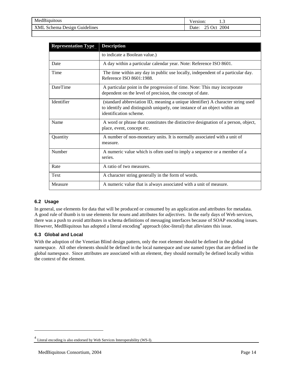<span id="page-13-0"></span>

| MedBiquitous  | ersion.<br> |
|---------------|-------------|
| XML           | 2004        |
| Guidelines    | . Jet       |
| Schema Design | Date:       |

| <b>Representation Type</b> | <b>Description</b>                                                                                                                                                                     |
|----------------------------|----------------------------------------------------------------------------------------------------------------------------------------------------------------------------------------|
|                            | to indicate a Boolean value.)                                                                                                                                                          |
| Date                       | A day within a particular calendar year. Note: Reference ISO 8601.                                                                                                                     |
| Time                       | The time within any day in public use locally, independent of a particular day.<br>Reference ISO 8601:1988.                                                                            |
| <b>DateTime</b>            | A particular point in the progression of time. Note: This may incorporate<br>dependent on the level of precision, the concept of date.                                                 |
| Identifier                 | (standard abbreviation ID, meaning a unique identifier) A character string used<br>to identify and distinguish uniquely, one instance of an object within an<br>identification scheme. |
| Name                       | A word or phrase that constitutes the distinctive designation of a person, object,<br>place, event, concept etc.                                                                       |
| Quantity                   | A number of non-monetary units. It is normally associated with a unit of<br>measure.                                                                                                   |
| Number                     | A numeric value which is often used to imply a sequence or a member of a<br>series.                                                                                                    |
| Rate                       | A ratio of two measures.                                                                                                                                                               |
| Text                       | A character string generally in the form of words.                                                                                                                                     |
| Measure                    | A numeric value that is always associated with a unit of measure.                                                                                                                      |

### **6.2 Usage**

 $\overline{a}$ 

In general, use elements for data that will be produced or consumed by an application and attributes for metadata. A good rule of thumb is to use elements for *nouns* and attributes for *adjectives*. In the early days of Web services, there was a push to avoid attributes in schema definitions of messaging interfaces because of SOAP encoding issues. However, MedBiquitous has adopted a literal encoding  $4$  approach (doc-literal) that alleviates this issue.

### **6.3 Global and Local**

With the adoption of the Venetian Blind design pattern, only the root element should be defined in the global namespace. All other elements should be defined in the local namespace and use named types that are defined in the global namespace. Since attributes are associated with an element, they should normally be defined locally within the context of the element.

<sup>4</sup> Literal encoding is also endorsed by Web Services Interoperability (WS-I).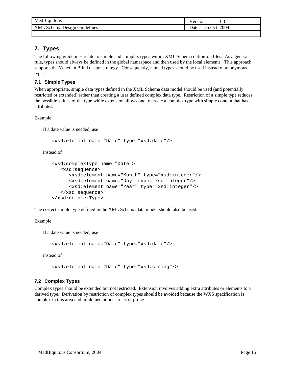<span id="page-14-0"></span>

| MedBiquitous                           | ersion:<br>1.J          |
|----------------------------------------|-------------------------|
| Guidelines<br><b>XML Schema Design</b> | 2004<br>25 Oct<br>Date: |

# **7. Types**

The following guidelines relate to simple and complex types within XML Schema definition files. As a general rule, types should always be defined in the global namespace and then used by the local elements. This approach supports the Venetian Blind design strategy. Consequently, named types should be used instead of anonymous types.

### **7.1 Simple Types**

When appropriate, simple data types defined in the XML Schema data model should be used (and potentially restricted or extended) rather than creating a user defined complex data type. Restriction of a simple type reduces the possible values of the type while extension allows one to create a complex type with simple content that has attributes.

Example:

If a date value is needed, use

```
<xsd:element name="Date" type="xsd:date"/>
```
instead of

```
<xsd:complexType name="Date"> 
    <xsd:sequence> 
       <xsd:element name="Month" type="xsd:integer"/> 
       <xsd:element name="Day" type="xsd:integer"/> 
       <xsd:element name="Year" type="xsd:integer"/> 
    </xsd:sequence> 
</xsd:complexType>
```
The correct simple type defined in the XML Schema data model should also be used.

Example:

If a date value is needed, use

<xsd:element name="Date" type="xsd:date"/>

instead of

<xsd:element name="Date" type="xsd:string"/>

### **7.2 Complex Types**

Complex types should be extended but not restricted. Extension involves adding extra attributes or elements to a derived type. Derivation by restriction of complex types should be avoided because the WXS specification is complex in this area and implementations are error prone.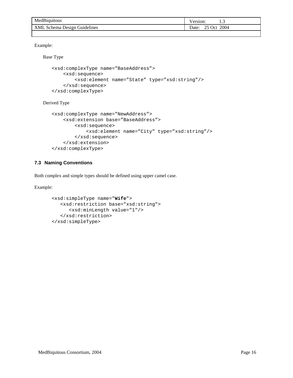<span id="page-15-0"></span>

| MedBiquitous                        | 'ersion:<br>ر. .              |
|-------------------------------------|-------------------------------|
| <b>XML Schema Design Guidelines</b> | 2004<br>25 Oct<br><b>Date</b> |

Example:

### Base Type

```
<xsd:complexType name="BaseAddress"> 
     <xsd:sequence> 
         <xsd:element name="State" type="xsd:string"/> 
     </xsd:sequence> 
</xsd:complexType>
```
### Derived Type

```
<xsd:complexType name="NewAddress"> 
     <xsd:extension base="BaseAddress"> 
         <xsd:sequence> 
              <xsd:element name="City" type="xsd:string"/> 
         </xsd:sequence> 
     </xsd:extension> 
</xsd:complexType>
```
### **7.3 Naming Conventions**

Both complex and simple types should be defined using upper camel case.

Example:

```
<xsd:simpleType name="Wife"> 
    <xsd:restriction base="xsd:string"> 
       <xsd:minLength value="1"/> 
    </xsd:restriction> 
</xsd:simpleType>
```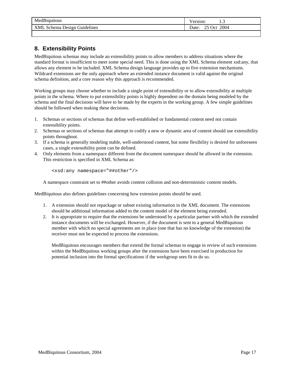<span id="page-16-0"></span>

| MedBiquitous                              | ersion:<br>ل د ل     |
|-------------------------------------------|----------------------|
| <b>T.</b> Schema Design Guidelines<br>XML | 2004<br>Oct<br>Date: |

# **8. Extensibility Points**

MedBiquitous schemas may include an extensibility points to allow members to address situations where the standard format is insufficient to meet some special need. This is done using the XML Schema element xsd:any, that allows any element to be included. XML Schema design language provides up to five extension mechanisms. Wildcard extensions are the only approach where an extended instance document is valid against the original schema definition, and a core reason why this approach is recommended.

Working groups may choose whether to include a single point of extensibility or to allow extensibility at multiple points in the schema. Where to put extensibility points is highly dependent on the domain being modeled by the schema and the final decisions will have to be made by the experts in the working group. A few simple guidelines should be followed when making these decisions.

- 1. Schemas or sections of schemas that define well-established or fundamental content need not contain extensibility points.
- 2. Schemas or sections of schemas that attempt to codify a new or dynamic area of content should use extensibility points throughout.
- 3. If a schema is generally modeling stable, well-understood content, but some flexibility is desired for unforeseen cases, a single extensibility point can be defined.
- 4. Only elements from a namespace different from the document namespace should be allowed in the extension. This restriction is specified in XML Schema as:

<xsd:any namespace="##other"/>

A namespace constraint set to ##other avoids content collision and non-deterministic content models.

MedBiquitous also defines guidelines concerning how extension points should be used.

- 1. A extension should not repackage or subset existing information in the XML document. The extensions should be additional information added to the content model of the element being extended.
- 2. It is appropriate to require that the extensions be understood by a particular partner with which the extended instance documents will be exchanged. However, if the document is sent to a general MedBiquitous member with which no special agreements are in place (one that has no knowledge of the extension) the receiver must not be expected to process the extensions.

MedBiquitous encourages members that extend the formal schemas to engage in review of such extensions within the MedBiquitous working groups after the extensions have been exercised in production for potential inclusion into the formal specifications if the workgroup sees fit to do so.